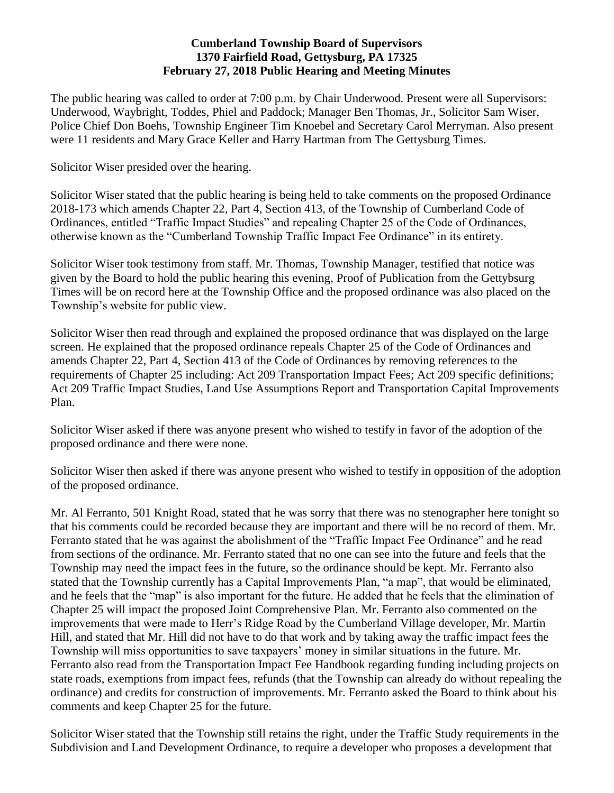#### **Cumberland Township Board of Supervisors 1370 Fairfield Road, Gettysburg, PA 17325 February 27, 2018 Public Hearing and Meeting Minutes**

The public hearing was called to order at 7:00 p.m. by Chair Underwood. Present were all Supervisors: Underwood, Waybright, Toddes, Phiel and Paddock; Manager Ben Thomas, Jr., Solicitor Sam Wiser, Police Chief Don Boehs, Township Engineer Tim Knoebel and Secretary Carol Merryman. Also present were 11 residents and Mary Grace Keller and Harry Hartman from The Gettysburg Times.

Solicitor Wiser presided over the hearing.

Solicitor Wiser stated that the public hearing is being held to take comments on the proposed Ordinance 2018-173 which amends Chapter 22, Part 4, Section 413, of the Township of Cumberland Code of Ordinances, entitled "Traffic Impact Studies" and repealing Chapter 25 of the Code of Ordinances, otherwise known as the "Cumberland Township Traffic Impact Fee Ordinance" in its entirety.

Solicitor Wiser took testimony from staff. Mr. Thomas, Township Manager, testified that notice was given by the Board to hold the public hearing this evening, Proof of Publication from the Gettybsurg Times will be on record here at the Township Office and the proposed ordinance was also placed on the Township's website for public view.

Solicitor Wiser then read through and explained the proposed ordinance that was displayed on the large screen. He explained that the proposed ordinance repeals Chapter 25 of the Code of Ordinances and amends Chapter 22, Part 4, Section 413 of the Code of Ordinances by removing references to the requirements of Chapter 25 including: Act 209 Transportation Impact Fees; Act 209 specific definitions; Act 209 Traffic Impact Studies, Land Use Assumptions Report and Transportation Capital Improvements Plan.

Solicitor Wiser asked if there was anyone present who wished to testify in favor of the adoption of the proposed ordinance and there were none.

Solicitor Wiser then asked if there was anyone present who wished to testify in opposition of the adoption of the proposed ordinance.

Mr. Al Ferranto, 501 Knight Road, stated that he was sorry that there was no stenographer here tonight so that his comments could be recorded because they are important and there will be no record of them. Mr. Ferranto stated that he was against the abolishment of the "Traffic Impact Fee Ordinance" and he read from sections of the ordinance. Mr. Ferranto stated that no one can see into the future and feels that the Township may need the impact fees in the future, so the ordinance should be kept. Mr. Ferranto also stated that the Township currently has a Capital Improvements Plan, "a map", that would be eliminated, and he feels that the "map" is also important for the future. He added that he feels that the elimination of Chapter 25 will impact the proposed Joint Comprehensive Plan. Mr. Ferranto also commented on the improvements that were made to Herr's Ridge Road by the Cumberland Village developer, Mr. Martin Hill, and stated that Mr. Hill did not have to do that work and by taking away the traffic impact fees the Township will miss opportunities to save taxpayers' money in similar situations in the future. Mr. Ferranto also read from the Transportation Impact Fee Handbook regarding funding including projects on state roads, exemptions from impact fees, refunds (that the Township can already do without repealing the ordinance) and credits for construction of improvements. Mr. Ferranto asked the Board to think about his comments and keep Chapter 25 for the future.

Solicitor Wiser stated that the Township still retains the right, under the Traffic Study requirements in the Subdivision and Land Development Ordinance, to require a developer who proposes a development that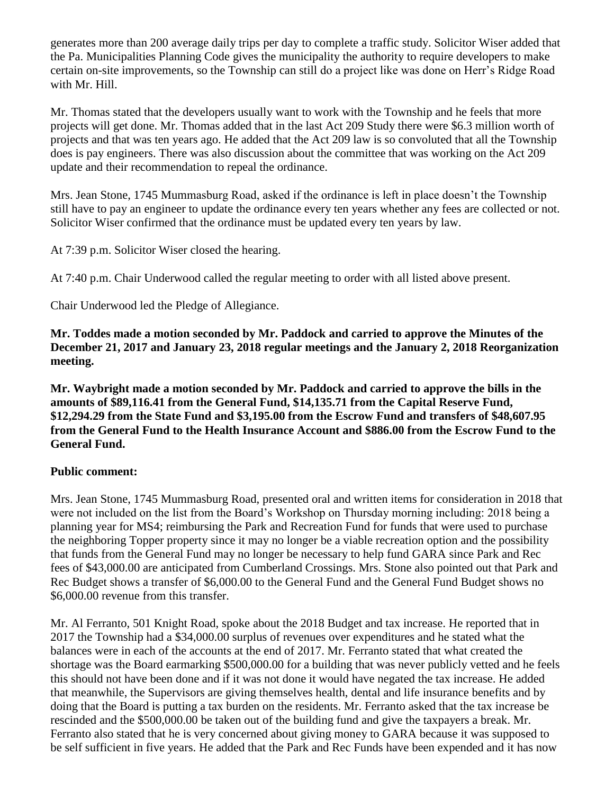generates more than 200 average daily trips per day to complete a traffic study. Solicitor Wiser added that the Pa. Municipalities Planning Code gives the municipality the authority to require developers to make certain on-site improvements, so the Township can still do a project like was done on Herr's Ridge Road with Mr. Hill.

Mr. Thomas stated that the developers usually want to work with the Township and he feels that more projects will get done. Mr. Thomas added that in the last Act 209 Study there were \$6.3 million worth of projects and that was ten years ago. He added that the Act 209 law is so convoluted that all the Township does is pay engineers. There was also discussion about the committee that was working on the Act 209 update and their recommendation to repeal the ordinance.

Mrs. Jean Stone, 1745 Mummasburg Road, asked if the ordinance is left in place doesn't the Township still have to pay an engineer to update the ordinance every ten years whether any fees are collected or not. Solicitor Wiser confirmed that the ordinance must be updated every ten years by law.

At 7:39 p.m. Solicitor Wiser closed the hearing.

At 7:40 p.m. Chair Underwood called the regular meeting to order with all listed above present.

Chair Underwood led the Pledge of Allegiance.

**Mr. Toddes made a motion seconded by Mr. Paddock and carried to approve the Minutes of the December 21, 2017 and January 23, 2018 regular meetings and the January 2, 2018 Reorganization meeting.**

**Mr. Waybright made a motion seconded by Mr. Paddock and carried to approve the bills in the amounts of \$89,116.41 from the General Fund, \$14,135.71 from the Capital Reserve Fund, \$12,294.29 from the State Fund and \$3,195.00 from the Escrow Fund and transfers of \$48,607.95 from the General Fund to the Health Insurance Account and \$886.00 from the Escrow Fund to the General Fund.**

### **Public comment:**

Mrs. Jean Stone, 1745 Mummasburg Road, presented oral and written items for consideration in 2018 that were not included on the list from the Board's Workshop on Thursday morning including: 2018 being a planning year for MS4; reimbursing the Park and Recreation Fund for funds that were used to purchase the neighboring Topper property since it may no longer be a viable recreation option and the possibility that funds from the General Fund may no longer be necessary to help fund GARA since Park and Rec fees of \$43,000.00 are anticipated from Cumberland Crossings. Mrs. Stone also pointed out that Park and Rec Budget shows a transfer of \$6,000.00 to the General Fund and the General Fund Budget shows no \$6,000.00 revenue from this transfer.

Mr. Al Ferranto, 501 Knight Road, spoke about the 2018 Budget and tax increase. He reported that in 2017 the Township had a \$34,000.00 surplus of revenues over expenditures and he stated what the balances were in each of the accounts at the end of 2017. Mr. Ferranto stated that what created the shortage was the Board earmarking \$500,000.00 for a building that was never publicly vetted and he feels this should not have been done and if it was not done it would have negated the tax increase. He added that meanwhile, the Supervisors are giving themselves health, dental and life insurance benefits and by doing that the Board is putting a tax burden on the residents. Mr. Ferranto asked that the tax increase be rescinded and the \$500,000.00 be taken out of the building fund and give the taxpayers a break. Mr. Ferranto also stated that he is very concerned about giving money to GARA because it was supposed to be self sufficient in five years. He added that the Park and Rec Funds have been expended and it has now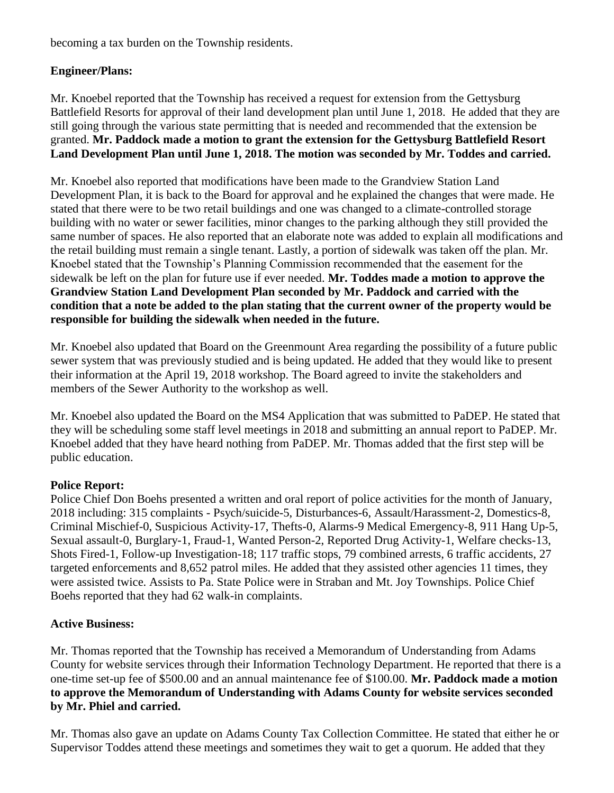becoming a tax burden on the Township residents.

## **Engineer/Plans:**

Mr. Knoebel reported that the Township has received a request for extension from the Gettysburg Battlefield Resorts for approval of their land development plan until June 1, 2018. He added that they are still going through the various state permitting that is needed and recommended that the extension be granted. **Mr. Paddock made a motion to grant the extension for the Gettysburg Battlefield Resort Land Development Plan until June 1, 2018. The motion was seconded by Mr. Toddes and carried.**

Mr. Knoebel also reported that modifications have been made to the Grandview Station Land Development Plan, it is back to the Board for approval and he explained the changes that were made. He stated that there were to be two retail buildings and one was changed to a climate-controlled storage building with no water or sewer facilities, minor changes to the parking although they still provided the same number of spaces. He also reported that an elaborate note was added to explain all modifications and the retail building must remain a single tenant. Lastly, a portion of sidewalk was taken off the plan. Mr. Knoebel stated that the Township's Planning Commission recommended that the easement for the sidewalk be left on the plan for future use if ever needed. **Mr. Toddes made a motion to approve the Grandview Station Land Development Plan seconded by Mr. Paddock and carried with the condition that a note be added to the plan stating that the current owner of the property would be responsible for building the sidewalk when needed in the future.** 

Mr. Knoebel also updated that Board on the Greenmount Area regarding the possibility of a future public sewer system that was previously studied and is being updated. He added that they would like to present their information at the April 19, 2018 workshop. The Board agreed to invite the stakeholders and members of the Sewer Authority to the workshop as well.

Mr. Knoebel also updated the Board on the MS4 Application that was submitted to PaDEP. He stated that they will be scheduling some staff level meetings in 2018 and submitting an annual report to PaDEP. Mr. Knoebel added that they have heard nothing from PaDEP. Mr. Thomas added that the first step will be public education.

### **Police Report:**

Police Chief Don Boehs presented a written and oral report of police activities for the month of January, 2018 including: 315 complaints - Psych/suicide-5, Disturbances-6, Assault/Harassment-2, Domestics-8, Criminal Mischief-0, Suspicious Activity-17, Thefts-0, Alarms-9 Medical Emergency-8, 911 Hang Up-5, Sexual assault-0, Burglary-1, Fraud-1, Wanted Person-2, Reported Drug Activity-1, Welfare checks-13, Shots Fired-1, Follow-up Investigation-18; 117 traffic stops, 79 combined arrests, 6 traffic accidents, 27 targeted enforcements and 8,652 patrol miles. He added that they assisted other agencies 11 times, they were assisted twice. Assists to Pa. State Police were in Straban and Mt. Joy Townships. Police Chief Boehs reported that they had 62 walk-in complaints.

### **Active Business:**

Mr. Thomas reported that the Township has received a Memorandum of Understanding from Adams County for website services through their Information Technology Department. He reported that there is a one-time set-up fee of \$500.00 and an annual maintenance fee of \$100.00. **Mr. Paddock made a motion to approve the Memorandum of Understanding with Adams County for website services seconded by Mr. Phiel and carried.**

Mr. Thomas also gave an update on Adams County Tax Collection Committee. He stated that either he or Supervisor Toddes attend these meetings and sometimes they wait to get a quorum. He added that they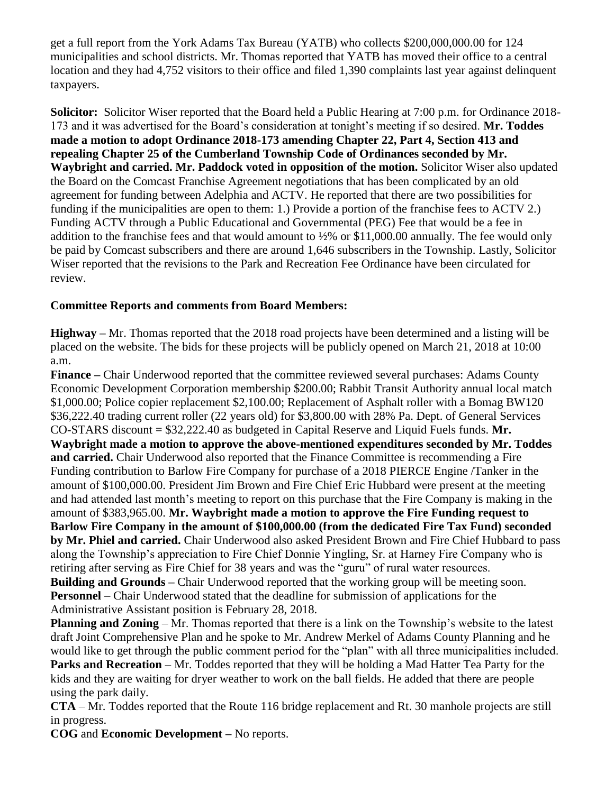get a full report from the York Adams Tax Bureau (YATB) who collects \$200,000,000.00 for 124 municipalities and school districts. Mr. Thomas reported that YATB has moved their office to a central location and they had 4,752 visitors to their office and filed 1,390 complaints last year against delinquent taxpayers.

**Solicitor:** Solicitor Wiser reported that the Board held a Public Hearing at 7:00 p.m. for Ordinance 2018- 173 and it was advertised for the Board's consideration at tonight's meeting if so desired. **Mr. Toddes made a motion to adopt Ordinance 2018-173 amending Chapter 22, Part 4, Section 413 and repealing Chapter 25 of the Cumberland Township Code of Ordinances seconded by Mr. Waybright and carried. Mr. Paddock voted in opposition of the motion.** Solicitor Wiser also updated the Board on the Comcast Franchise Agreement negotiations that has been complicated by an old agreement for funding between Adelphia and ACTV. He reported that there are two possibilities for funding if the municipalities are open to them: 1.) Provide a portion of the franchise fees to ACTV 2.) Funding ACTV through a Public Educational and Governmental (PEG) Fee that would be a fee in addition to the franchise fees and that would amount to ½% or \$11,000.00 annually. The fee would only be paid by Comcast subscribers and there are around 1,646 subscribers in the Township. Lastly, Solicitor Wiser reported that the revisions to the Park and Recreation Fee Ordinance have been circulated for review.

# **Committee Reports and comments from Board Members:**

**Highway –** Mr. Thomas reported that the 2018 road projects have been determined and a listing will be placed on the website. The bids for these projects will be publicly opened on March 21, 2018 at 10:00 a.m.

**Finance –** Chair Underwood reported that the committee reviewed several purchases: Adams County Economic Development Corporation membership \$200.00; Rabbit Transit Authority annual local match \$1,000.00; Police copier replacement \$2,100.00; Replacement of Asphalt roller with a Bomag BW120 \$36,222.40 trading current roller (22 years old) for \$3,800.00 with 28% Pa. Dept. of General Services CO-STARS discount = \$32,222.40 as budgeted in Capital Reserve and Liquid Fuels funds. **Mr. Waybright made a motion to approve the above-mentioned expenditures seconded by Mr. Toddes and carried.** Chair Underwood also reported that the Finance Committee is recommending a Fire Funding contribution to Barlow Fire Company for purchase of a 2018 PIERCE Engine /Tanker in the amount of \$100,000.00. President Jim Brown and Fire Chief Eric Hubbard were present at the meeting and had attended last month's meeting to report on this purchase that the Fire Company is making in the amount of \$383,965.00. **Mr. Waybright made a motion to approve the Fire Funding request to Barlow Fire Company in the amount of \$100,000.00 (from the dedicated Fire Tax Fund) seconded by Mr. Phiel and carried.** Chair Underwood also asked President Brown and Fire Chief Hubbard to pass along the Township's appreciation to Fire Chief Donnie Yingling, Sr. at Harney Fire Company who is retiring after serving as Fire Chief for 38 years and was the "guru" of rural water resources. **Building and Grounds** – Chair Underwood reported that the working group will be meeting soon. **Personnel** – Chair Underwood stated that the deadline for submission of applications for the Administrative Assistant position is February 28, 2018.

**Planning and Zoning** – Mr. Thomas reported that there is a link on the Township's website to the latest draft Joint Comprehensive Plan and he spoke to Mr. Andrew Merkel of Adams County Planning and he would like to get through the public comment period for the "plan" with all three municipalities included.

**Parks and Recreation** – Mr. Toddes reported that they will be holding a Mad Hatter Tea Party for the kids and they are waiting for dryer weather to work on the ball fields. He added that there are people using the park daily.

**CTA** – Mr. Toddes reported that the Route 116 bridge replacement and Rt. 30 manhole projects are still in progress.

**COG** and **Economic Development –** No reports.